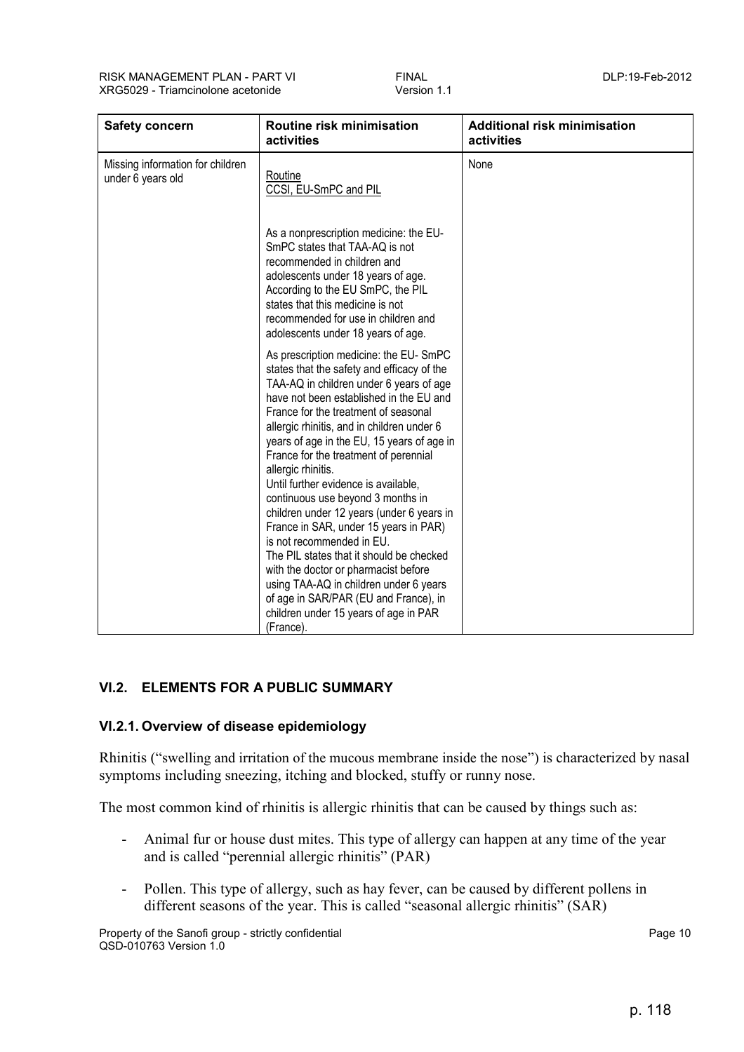| <b>Safety concern</b>                                 | Routine risk minimisation<br>activities                                                                                                                                                                                                                                                                                                                                                                                                                                                                                                                                                                                                                                                                                                                                                                   | <b>Additional risk minimisation</b><br>activities |
|-------------------------------------------------------|-----------------------------------------------------------------------------------------------------------------------------------------------------------------------------------------------------------------------------------------------------------------------------------------------------------------------------------------------------------------------------------------------------------------------------------------------------------------------------------------------------------------------------------------------------------------------------------------------------------------------------------------------------------------------------------------------------------------------------------------------------------------------------------------------------------|---------------------------------------------------|
| Missing information for children<br>under 6 years old | Routine<br>CCSI, EU-SmPC and PIL                                                                                                                                                                                                                                                                                                                                                                                                                                                                                                                                                                                                                                                                                                                                                                          | None                                              |
|                                                       | As a nonprescription medicine: the EU-<br>SmPC states that TAA-AQ is not<br>recommended in children and<br>adolescents under 18 years of age.<br>According to the EU SmPC, the PIL<br>states that this medicine is not<br>recommended for use in children and<br>adolescents under 18 years of age.                                                                                                                                                                                                                                                                                                                                                                                                                                                                                                       |                                                   |
|                                                       | As prescription medicine: the EU-SmPC<br>states that the safety and efficacy of the<br>TAA-AQ in children under 6 years of age<br>have not been established in the EU and<br>France for the treatment of seasonal<br>allergic rhinitis, and in children under 6<br>years of age in the EU, 15 years of age in<br>France for the treatment of perennial<br>allergic rhinitis.<br>Until further evidence is available,<br>continuous use beyond 3 months in<br>children under 12 years (under 6 years in<br>France in SAR, under 15 years in PAR)<br>is not recommended in EU.<br>The PIL states that it should be checked<br>with the doctor or pharmacist before<br>using TAA-AQ in children under 6 years<br>of age in SAR/PAR (EU and France), in<br>children under 15 years of age in PAR<br>(France). |                                                   |

# **VI.2. ELEMENTS FOR A PUBLIC SUMMARY**

# **VI.2.1. Overview of disease epidemiology**

Rhinitis ("swelling and irritation of the mucous membrane inside the nose") is characterized by nasal symptoms including sneezing, itching and blocked, stuffy or runny nose.

The most common kind of rhinitis is allergic rhinitis that can be caused by things such as:

- Animal fur or house dust mites. This type of allergy can happen at any time of the year and is called "perennial allergic rhinitis" (PAR)
- Pollen. This type of allergy, such as hay fever, can be caused by different pollens in different seasons of the year. This is called "seasonal allergic rhinitis" (SAR)

Property of the Sanofi group - strictly confidential **Property and Serverty Confidential** Page 10 QSD-010763 Version 1.0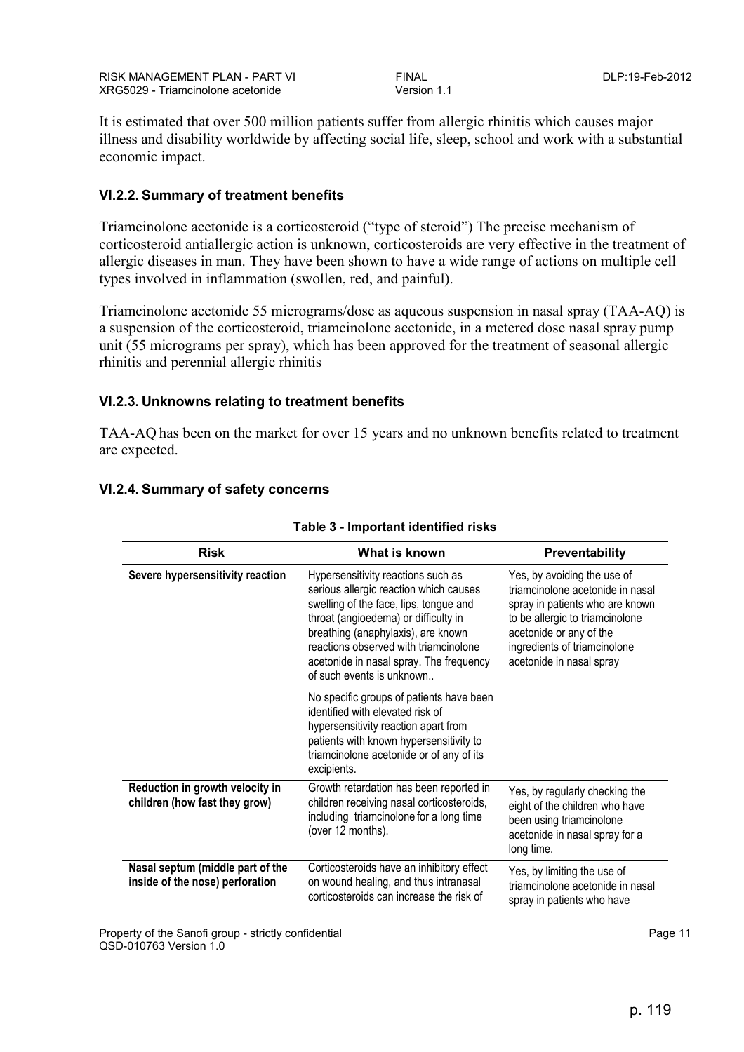It is estimated that over 500 million patients suffer from allergic rhinitis which causes major illness and disability worldwide by affecting social life, sleep, school and work with a substantial economic impact.

# **VI.2.2. Summary of treatment benefits**

Triamcinolone acetonide is a corticosteroid ("type of steroid") The precise mechanism of corticosteroid antiallergic action is unknown, corticosteroids are very effective in the treatment of allergic diseases in man. They have been shown to have a wide range of actions on multiple cell types involved in inflammation (swollen, red, and painful).

Triamcinolone acetonide 55 micrograms/dose as aqueous suspension in nasal spray (TAA-AQ) is a suspension of the corticosteroid, triamcinolone acetonide, in a metered dose nasal spray pump unit (55 micrograms per spray), which has been approved for the treatment of seasonal allergic rhinitis and perennial allergic rhinitis

# **VI.2.3. Unknowns relating to treatment benefits**

TAA-AQ has been on the market for over 15 years and no unknown benefits related to treatment are expected.

| <b>Risk</b>                                                         | What is known                                                                                                                                                                                                                                                                                                         | Preventability                                                                                                                                                                                                               |
|---------------------------------------------------------------------|-----------------------------------------------------------------------------------------------------------------------------------------------------------------------------------------------------------------------------------------------------------------------------------------------------------------------|------------------------------------------------------------------------------------------------------------------------------------------------------------------------------------------------------------------------------|
| Severe hypersensitivity reaction                                    | Hypersensitivity reactions such as<br>serious allergic reaction which causes<br>swelling of the face, lips, tongue and<br>throat (angioedema) or difficulty in<br>breathing (anaphylaxis), are known<br>reactions observed with triamcinolone<br>acetonide in nasal spray. The frequency<br>of such events is unknown | Yes, by avoiding the use of<br>triamcinolone acetonide in nasal<br>spray in patients who are known<br>to be allergic to triamcinolone<br>acetonide or any of the<br>ingredients of triamcinolone<br>acetonide in nasal spray |
|                                                                     | No specific groups of patients have been<br>identified with elevated risk of<br>hypersensitivity reaction apart from<br>patients with known hypersensitivity to<br>triamcinolone acetonide or of any of its<br>excipients.                                                                                            |                                                                                                                                                                                                                              |
| Reduction in growth velocity in<br>children (how fast they grow)    | Growth retardation has been reported in<br>children receiving nasal corticosteroids,<br>including triamcinolone for a long time<br>(over 12 months).                                                                                                                                                                  | Yes, by regularly checking the<br>eight of the children who have<br>been using triamcinolone<br>acetonide in nasal spray for a<br>long time.                                                                                 |
| Nasal septum (middle part of the<br>inside of the nose) perforation | Corticosteroids have an inhibitory effect<br>on wound healing, and thus intranasal<br>corticosteroids can increase the risk of                                                                                                                                                                                        | Yes, by limiting the use of<br>triamcinolone acetonide in nasal<br>spray in patients who have                                                                                                                                |

### **VI.2.4. Summary of safety concerns**

#### **Table 3 - Important identified risks**

Property of the Sanofi group - strictly confidential Page 11 and 200 and 200 and 200 and 200 and 200 and 200 and 200 and 200 and 200 and 200 and 200 and 200 and 200 and 200 and 200 and 200 and 200 and 200 and 200 and 200 a QSD-010763 Version 1.0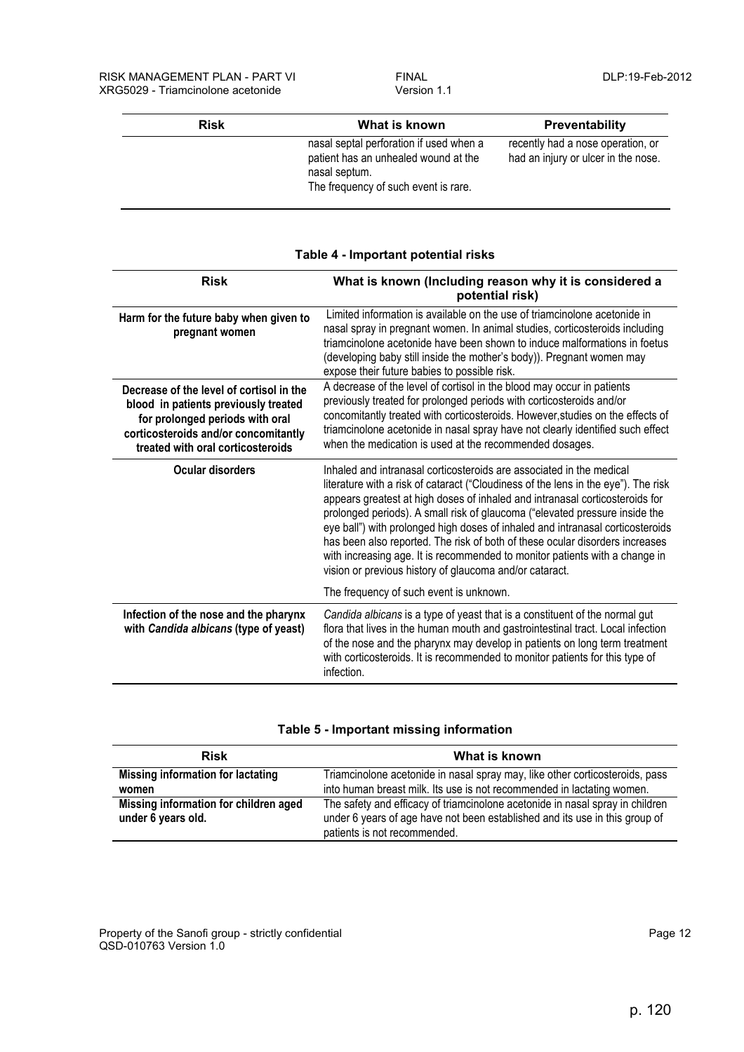| <b>Risk</b> | What is known                                                                                                                            | <b>Preventability</b>                                                    |
|-------------|------------------------------------------------------------------------------------------------------------------------------------------|--------------------------------------------------------------------------|
|             | nasal septal perforation if used when a<br>patient has an unhealed wound at the<br>nasal septum.<br>The frequency of such event is rare. | recently had a nose operation, or<br>had an injury or ulcer in the nose. |

| <b>Risk</b>                                                                                                                                                                                      | What is known (Including reason why it is considered a<br>potential risk)                                                                                                                                                                                                                                                                                                                                                                                                                                                                                                                                                             |
|--------------------------------------------------------------------------------------------------------------------------------------------------------------------------------------------------|---------------------------------------------------------------------------------------------------------------------------------------------------------------------------------------------------------------------------------------------------------------------------------------------------------------------------------------------------------------------------------------------------------------------------------------------------------------------------------------------------------------------------------------------------------------------------------------------------------------------------------------|
| Harm for the future baby when given to<br>pregnant women                                                                                                                                         | Limited information is available on the use of triamcinolone acetonide in<br>nasal spray in pregnant women. In animal studies, corticosteroids including<br>triamcinolone acetonide have been shown to induce malformations in foetus<br>(developing baby still inside the mother's body)). Pregnant women may<br>expose their future babies to possible risk.                                                                                                                                                                                                                                                                        |
| Decrease of the level of cortisol in the<br>blood in patients previously treated<br>for prolonged periods with oral<br>corticosteroids and/or concomitantly<br>treated with oral corticosteroids | A decrease of the level of cortisol in the blood may occur in patients<br>previously treated for prolonged periods with corticosteroids and/or<br>concomitantly treated with corticosteroids. However, studies on the effects of<br>triamcinolone acetonide in nasal spray have not clearly identified such effect<br>when the medication is used at the recommended dosages.                                                                                                                                                                                                                                                         |
| Ocular disorders                                                                                                                                                                                 | Inhaled and intranasal corticosteroids are associated in the medical<br>literature with a risk of cataract ("Cloudiness of the lens in the eye"). The risk<br>appears greatest at high doses of inhaled and intranasal corticosteroids for<br>prolonged periods). A small risk of glaucoma ("elevated pressure inside the<br>eye ball") with prolonged high doses of inhaled and intranasal corticosteroids<br>has been also reported. The risk of both of these ocular disorders increases<br>with increasing age. It is recommended to monitor patients with a change in<br>vision or previous history of glaucoma and/or cataract. |
| Infection of the nose and the pharynx<br>with Candida albicans (type of yeast)                                                                                                                   | The frequency of such event is unknown.<br>Candida albicans is a type of yeast that is a constituent of the normal gut<br>flora that lives in the human mouth and gastrointestinal tract. Local infection<br>of the nose and the pharynx may develop in patients on long term treatment                                                                                                                                                                                                                                                                                                                                               |
|                                                                                                                                                                                                  | with corticosteroids. It is recommended to monitor patients for this type of<br>infection.                                                                                                                                                                                                                                                                                                                                                                                                                                                                                                                                            |

### **Table 4 - Important potential risks**

| Table 5 - Important missing information |  |  |
|-----------------------------------------|--|--|
|-----------------------------------------|--|--|

| <b>Risk</b>                           | What is known                                                                 |
|---------------------------------------|-------------------------------------------------------------------------------|
| Missing information for lactating     | Triamcinolone acetonide in nasal spray may, like other corticosteroids, pass  |
| women                                 | into human breast milk. Its use is not recommended in lactating women.        |
| Missing information for children aged | The safety and efficacy of triamcinolone acetonide in nasal spray in children |
| under 6 years old.                    | under 6 years of age have not been established and its use in this group of   |
|                                       | patients is not recommended.                                                  |

Property of the Sanofi group - strictly confidential **Page 12** Assembly 2008 and 2009 and 2009 and 2009 and 2009 and 2009 and 2009 and 2009 and 2009 and 2009 and 2009 and 2009 and 2009 and 2009 and 2009 and 2009 and 2009 a QSD-010763 Version 1.0